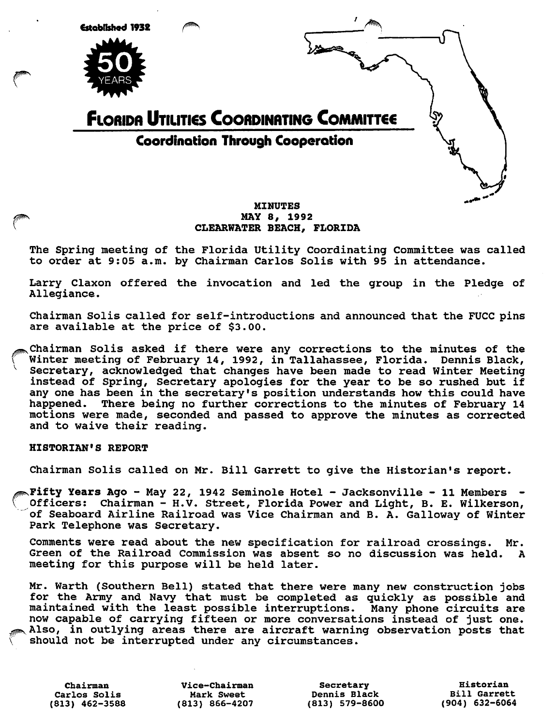

# MAY 8, 1992 CLEARWATER BEACH, FLORIDA

The Spring meeting of the Florida Utility Coordinating Committee was called to order at 9:05 a.m. by Chairman Carlos Solis with 95 in attendance.

Larry Claxon offered the invocation and led the group in the Pledge of Allegiance.

Chairman Solis called for self-introductions and announced that the FUCC pins are available at the price of \$3.00.

Chairman Solis asked if there were any corrections to the minutes of the Winter meeting of February 14, 1992, in Tallahassee, Florida. Dennis Black, Secretary, acknowledged that changes have been made to read Winter Meeting instead of Spring, Secretary apologies for the year to be so rushed but if any one has been in the secretary's position understands how this could have happened. There being no further corrections to the minutes of February 14 motions were made, seconded and passed to approve the minutes as corrected and to waive their reading.

## HISTORIAN'S REPORT

V

Chairman Solis called on Mr. Bill Garrett to give the Historian's report.

Fifty Years Ago - May 22, 1942 Seminole Hotel - Jacksonville - 11 Members Officers: Chairman - H.V. Street, Florida Power and Light, B. E. Wilkerson, of Seaboard Airline Railroad was Vice Chairman and B. A. Galloway of Winter Park Telephone was Secretary.

Comments were read about the new specification for railroad crossings. Mr. Green of the Railroad Commission was absent so no discussion was held. A meeting for this purpose will be held later.

Mr. Warth (Southern Bell) stated that there were many new construction jobs for the Army and Navy that must be completed as quickly as possible and maintained with the least possible interruptions. Many phone circuits are now capable of carrying fifteen or more conversations instead of just one. Also, in outlying areas there are aircraft warning observation posts that should not be interrupted under any circumstances.

Carlos Solis Mark Sweet Dennis Black Bill Garrett

Chairman Vice-chairman Secretary Historian (813) 866-4207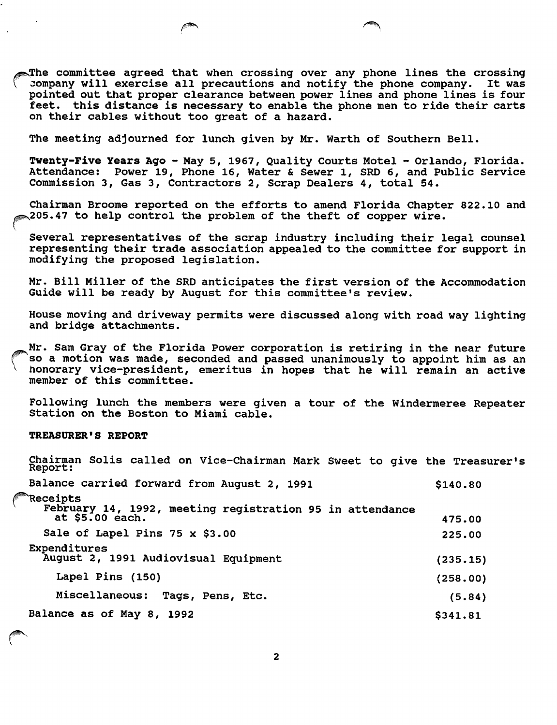The committee agreed that when crossing over any phone lines the crossing company will exercise all precautions and notify the phone company. It was pointed out that proper clearance between power lines and phone lines is four feet, this distance is necessary to enable the phone men to ride their carts on their cables without too great of a hazard.

The meeting adjourned for lunch given by Mr. Warth of Southern Bell.

Twenty-Five Years Ago - May 5, 1967, Quality Courts Motel - Orlando, Florida. Attendance: Power 19, Phone 16, Water & Sewer 1, SRD 6, and Public Service Commission 3, Gas 3, Contractors 2, Scrap Dealers 4, total 54.

Chairman Broome reported on the efforts to amend Florida Chapter 822.10 and  $\leqslant$ 205.47 to help control the problem of the theft of copper wire.

Several representatives of the scrap industry including their legal counsel representing their trade association appealed to the committee for support in modifying the proposed legislation.

Mr. Bill Miller of the SRD anticipates the first version of the Accommodation Guide will be ready by August for this committee's review.

House moving and driveway permits were discussed along with road way lighting and bridge attachments.

Mr. Sam Gray of the Florida Power corporation is retiring in the near future so a motion was made, seconded and passed unanimously to appoint him as an honorary vice-president, emeritus in hopes that he will remain an active member of this committee.

Following lunch the members were given a tour of the Windermeree Repeater Station on the Boston to Miami cable.

### TREASURER'S REPORT

l,

| Chairman Solis called on Vice-Chairman Mark Sweet to give the Treasurer's<br>Report:    |          |
|-----------------------------------------------------------------------------------------|----------|
| Balance carried forward from August 2, 1991                                             | \$140.80 |
| Receipts<br>February 14, 1992, meeting registration 95 in attendance<br>at \$5.00 each. | 475.00   |
| Sale of Lapel Pins 75 x \$3.00                                                          | 225.00   |
| Expenditures<br>August 2, 1991 Audiovisual Equipment                                    | (235.15) |
| Lapel Pins (150)                                                                        | (258.00) |
| Miscellaneous:<br>Tags, Pens, Etc.                                                      | (5.84)   |
| Balance as of May 8, 1992                                                               | \$341.81 |

 $\overline{2}$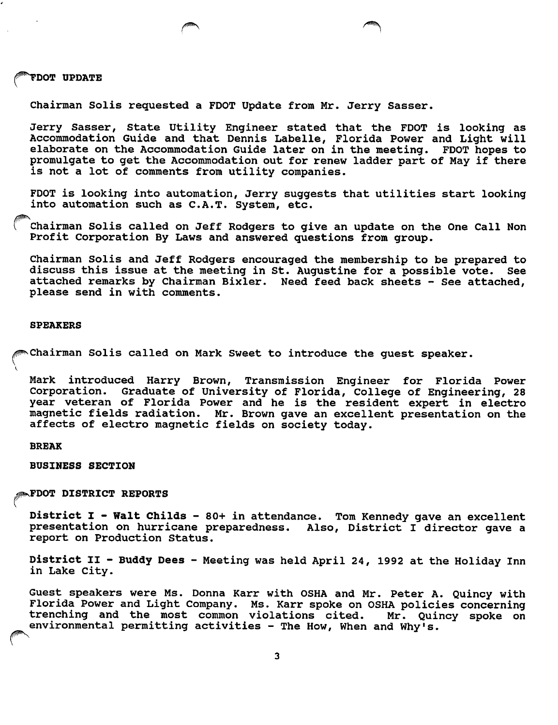#### j#^DOT UPDATE

Chairman Soils requested a FOOT Update from Mr. Jerry Sasser.

Jerry Sasser, State Utility Engineer stated that the FOOT is looking as Accommodation Guide and that Dennis Labelle, Florida Power and Light will elaborate on the Accommodation Guide later on in the meeting. FDOT hopes to promulgate to get the Accommodation out for renew ladder part of May if there is not a lot of comments from utility companies.

FOOT is looking into automation, Jerry suggests that utilities start looking into automation such as C.A.T. System, etc.

Chairman Solis called on Jeff Rodgers to give an update on the One Call Non Profit Corporation By Laws and answered questions from group.

Chairman Soils and Jeff Rodgers encouraged the membership to be prepared to discuss this issue at the meeting in St. Augustine for a possible vote. See attached remarks by Chairman Bixler. Need feed back sheets - See attached, please send in with comments.

#### SPEAKERS

^^Chairman Soils called on Mark Sweet to introduce the guest speaker.

Mark introduced Harry Brown, Transmission Engineer for Florida Power Corporation. Graduate of University of Florida, College of Engineering, 28 year veteran of Florida Power and he is the resident expert in electro magnetic fields radiation. Mr. Brown gave an excellent presentation on the affects of electro magnetic fields on society today.

#### BREAK

BUSINESS SECTION

^^FDOT DISTRICT REPORTS

District I - Walt Childs - 80+ in attendance. Tom Kennedy gave an excellent presentation on hurricane preparedness. Also, District I director gave a report on Production Status.

District II - Buddy Dees - Meeting was held April 24, 1992 at the Holiday Inn in Lake City.

Guest speakers were Ms. Donna Karr with OSHA and Mr. Peter A. Quincy with Florida Power and Light Company. Ms. Karr spoke on OSHA policies concerning trenching and the most common violations cited. Mr. Quincy spoke on environmental permitting activities - The How, When and Why's.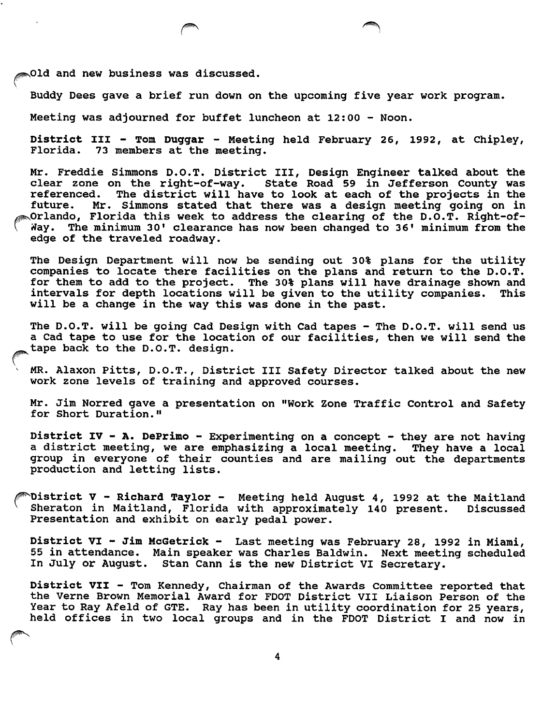**Did and new business was discussed.** 

Buddy Dees gave a brief run down on the upcoming five year work program.

Meeting was adjourned for buffet luncheon at 12:00 - Noon.

District III - Tom Duggar - Meeting held February 26, 1992, at Chipley, Florida. 73 members at the meeting.

Mr. Freddie Simmons D.O.T. District III, Design Engineer talked about the clear zone on the right-of-way. State Road 59 in Jefferson County was referenced. The district will have to look at each of the projects in the future. Mr. Simmons stated that there was a design meeting going on in Orlando, Florida this week to address the clearing of the D.O.T. Right-of-Nay. The minimum 30' clearance has now been changed to 36' minimum from the edge of the traveled roadway.

The Design Department will now be sending out 30% plans for the utility companies to locate there facilities on the plans and return to the D.O.T. for them to add to the project. The 30% plans will have drainage shown and intervals for depth locations will be given to the utility companies. This will be a change in the way this was done in the past.

The D.O.T. will be going Cad Design with Cad tapes - The D.O.T. will send us a Cad tape to use for the location of our facilities, then we will send the tape back to the D.O.T. design.

MR. Alaxon Pitts, D.O.T., District III Safety Director talked about the new work zone levels of training and approved courses.

Mr. Jim Norred gave a presentation on "Work Zone Traffic Control and Safety for Short Duration."

District IV - A. DePrimo - Experimenting on a concept - they are not having a district meeting, we are emphasizing a local meeting. They have a local group in everyone of their counties and are mailing out the departments production and letting lists.

Nistrict V - Richard Taylor - Meeting held August 4, 1992 at the Maitland<br>Sheraton in Maitland, Florida with approximately 140 present. Discussed Sheraton in Maitland, Florida with approximately 140 present. Presentation and exhibit on early pedal power.

District VI - Jim HcGetrick - Last meeting was February 28, 1992 in Miami, 55 in attendance. Main speaker was Charles Baldwin. Next meeting scheduled In July or August. Stan Cann is the new District VI Secretary.

District VII - Tom Kennedy, Chairman of the Awards Committee reported that the Verne Brown Memorial Award for FDOT District VII Liaison Person of the Year to Ray Afeld of GTE. Ray has been in utility coordination for 25 years, held offices in two local groups and in the FDOT District I and now in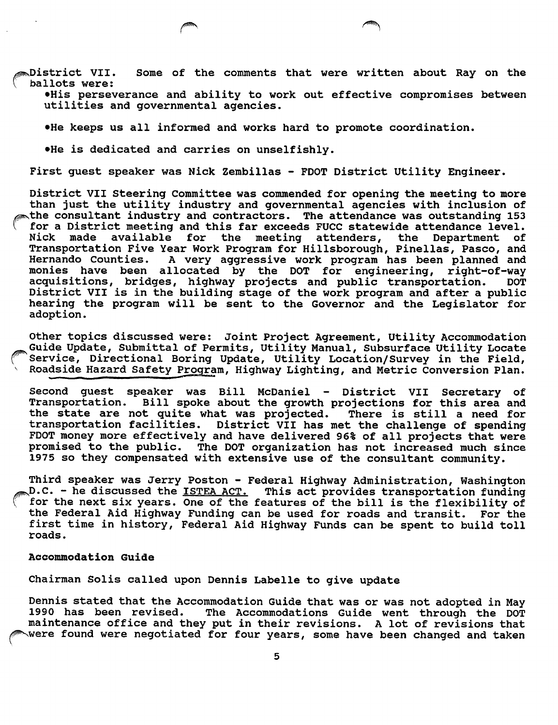$_{\rm \odot}$ District VII. Some of the comments that were written about Ray on the ballots were:

•His perseverance and ability to work out effective compromises between utilities and governmental agencies.

•He keeps us all informed and works hard to promote coordination.

•He is dedicated and carries on unselfishly.

First guest speaker was Nick Zembillas - FOOT District Utility Engineer.

District VII Steering Committee was commended for opening the meeting to more than just the utility industry and governmental agencies with inclusion of the consultant industry and contractors. The attendance was outstanding 153 for a District meeting and this far exceeds FUCC statewide attendance level.<br>Nick made available for the meeting attenders, the Department of Nick made available for the meeting attenders, the Department of Transportation Five Year Work Program for Hillsborough, Pinellas, Pasco, and Hernando Counties. A very aggressive work program has been planned and monies have been allocated by the DOT for engineering, right-of-way acquisitions, bridges, highway projects and public transportation. DOT District VII is in the building stage of the work program and after a public hearing the program will be sent to the Governor and the Legislator for adoption.

Other topics discussed were: Joint Project Agreement, Utility Accommodation Guide Update, Submittal of Permits, Utility Manual, Subsurface Utility Locate Service, Directional Boring Update, Utility Location/Survey in the Field, Roadside Hazard Safety Program, Highway Lighting, and Metric Conversion Plan.

Second guest speaker was Bill McDaniel - District VII Secretary of<br>Transportation. Bill spoke about the growth projections for this area and Bill spoke about the growth projections for this area and the state are not quite what was projected. There is still a need for transportation facilities. District VII has met the challenge of spending FDOT money more effectively and have delivered 96% of all projects that were promised to the public. The DOT organization has not increased much since 1975 so they compensated with extensive use of the consultant community.

Third speaker was Jerry Poston - Federal Highway Administration, Washington  $\mathcal{D}$ .C. - he discussed the <u>ISTEA ACT.</u> This act provides transportation funding for the next six years. One of the features of the bill is the flexibility of the Federal Aid Highway Funding can be used for roads and transit. For the first time in history. Federal Aid Highway Funds can be spent to build toll roads.

## Accommodation Guide

Chairman Solis called upon Dennis Labelle to give update

Dennis stated that the Accommodation Guide that was or was not adopted in May 1990 has been revised. The Accommodations Guide went through the DOT maintenance office and they put in their revisions. A lot of revisions that were found were negotiated for four years, some have been changed and taken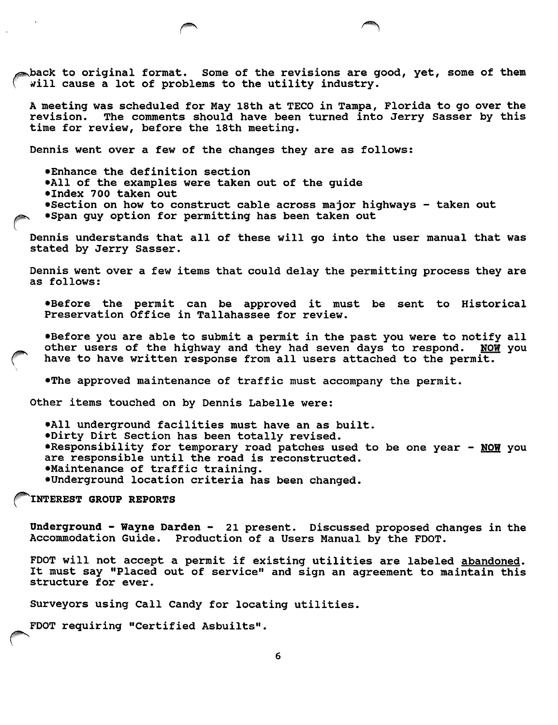$\bullet$ back to original format. Some of the revisions are good, yet, some of them will cause a lot of problems to the utility industry.

A meeting was scheduled for May 18th at TECO in Tampa, Florida to go over the revision. The comments should have been turned into Jerry Sasser by this The comments should have been turned into Jerry Sasser by this time for review, before the 18th meeting.

Dennis went over a few of the changes they are as follows;

•Enhance the definition section •All of the examples were taken out of the guide •Index 700 taken out •Section on how to construct cable across major highways - taken out <sup>V</sup> •Span guy option for permitting has been taken out

Dennis understands that all of these will go into the user manual that was stated by Jerry Sasser.

Dennis went over a few items that could delay the permitting process they are as follows:

•Before the permit can be approved it must be sent to Historical Preservation Office in Tallahassee for review.

•Before you are able to submit a permit in the past you were to notify all other users of the highway and they had seven days to respond. NOW you have to have written response from all users attached to the permit.

•The approved maintenance of traffic must accompany the permit.

Other items touched on by Dennis Labelle were:

•All underground facilities must have an as built. •Dirty Dirt Section has been totally revised. **•Responsibility for temporary road patches used to be one year - NOW you** are responsible until the road is reconstructed. •Maintenance of traffic training. •Underground location criteria has been changed.

^INTEREST GROUP REPORTS

Underground - Wayne Darden - 21 present. Discussed proposed changes in the Accommodation Guide. Production of a Users Manual by the FDOT.

FDOT will not accept a permit if existing utilities are labeled abandoned. It must say "Placed out of service" and sign an agreement to maintain this structure for ever.

Surveyors using Call Candy for locating utilities.

FDOT requiring "Certified Asbuilts".

6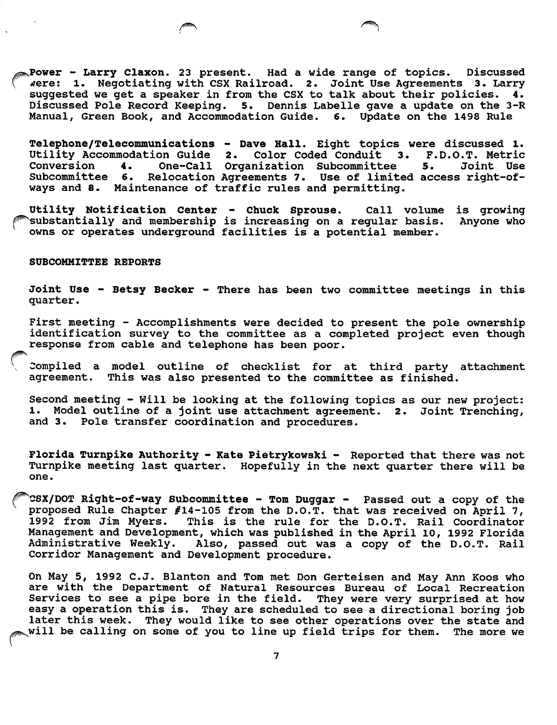Power - Larry Claxon. 23 present. Had a wide range of topics. Discussed were: 1. Negotiating with CSX Railroad. 2. Joint Use Agreements 3. Larry suggested we get a speaker in from the CSX to talk about their policies. 4. Discussed Pole Record Keeping. 5. Dennis Labelle gave a update on the 3-R Manual, Green Book, and Accommodation Guide. 6. Update on the 1498 Rule

Telephone/Telecommunications - Dave Hall. Eight topics were discussed 1. Utility Accommodation Guide 2. Color Coded Conduit 3. F.D.O.T. Metric<br>Conversion 4. One-Call Organization Subcommittee 5. Joint Use One-Call Organization Subcommittee Subcommittee 6. Relocation Agreements 7. Use of limited access right-ofways and 8. Maintenance of traffic rules and permitting.

Utility Notification Center - Chuck Sprouse. Call volume is growing<br>Substantially and membership is increasing on a regular basis. Anyone who substantially and membership is increasing on a regular basis. owns or operates underground facilities is a potential member.

### SUBCOMMITTEE REPORTS

Joint Use - Betsy Becker - There has been two committee meetings in this quarter.

First meeting - Accomplishments were decided to present the pole ownership identification survey to the committee as a completed project even though response from cable and telephone has been poor.

Compiled a model outline of checklist for at third party attachment agreement. This was also presented to the committee as finished.

Second meeting - Will be looking at the following topics as our new project: 1. Model outline of a joint use attachment agreement. 2. Joint Trenching, and 3. Pole transfer coordination and procedures.

Florida Turnpike Authority - Kate Pietrykowski - Reported that there was not Turnpike meeting last quarter. Hopefully in the next quarter there will be one.

^CSX/DOT Right-of-way Subcommittee - Tom Duggar - Passed out a copy of the proposed Rule Chapter #14-105 from the D.O.T. that was received on April 7, 1992 from Jim Myers. This is the rule for the D.O.T. Rail Coordinator Management and Development, which was published in the April 10, 1992 Florida Administrative Weekly. Also, passed out was a copy of the D.O.T. Rail Corridor Management and Development procedure.

On May 5, 1992 C.J. Blanton and Tom met Don Gerteisen and May Ann Koos who are with the Department of Natural Resources Bureau of Local Recreation Services to see a pipe bore in the field. They were very surprised at how easy a operation this is. They are scheduled to see a directional boring job later this week. They would like to see other operations over the state and will be calling on some of you to line up field trips for them. The more we